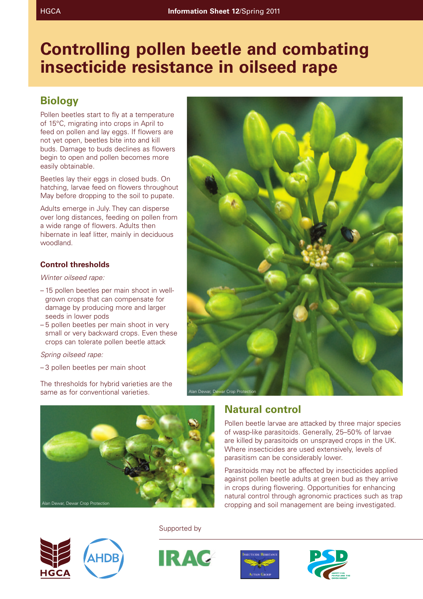# **Controlling pollen beetle and combating insecticide resistance in oilseed rape**

## **Biology**

Pollen beetles start to fly at a temperature of 15°C, migrating into crops in April to feed on pollen and lay eggs. If flowers are not yet open, beetles bite into and kill buds. Damage to buds declines as flowers begin to open and pollen becomes more easily obtainable.

Beetles lay their eggs in closed buds. On hatching, larvae feed on flowers throughout May before dropping to the soil to pupate.

Adults emerge in July. They can disperse over long distances, feeding on pollen from a wide range of flowers. Adults then hibernate in leaf litter, mainly in deciduous woodland.

### **Control thresholds**

*Winter oilseed rape:*

- 15 pollen beetles per main shoot in wellgrown crops that can compensate for damage by producing more and larger seeds in lower pods
- 5 pollen beetles per main shoot in very small or very backward crops. Even these crops can tolerate pollen beetle attack

*Spring oilseed rape:*

– 3 pollen beetles per main shoot

The thresholds for hybrid varieties are the same as for conventional varieties.





### **Natural control**

Pollen beetle larvae are attacked by three major species of wasp-like parasitoids. Generally, 25–50% of larvae are killed by parasitoids on unsprayed crops in the UK. Where insecticides are used extensively, levels of parasitism can be considerably lower.

Parasitoids may not be affected by insecticides applied against pollen beetle adults at green bud as they arrive in crops during flowering. Opportunities for enhancing natural control through agronomic practices such as trap cropping and soil management are being investigated.